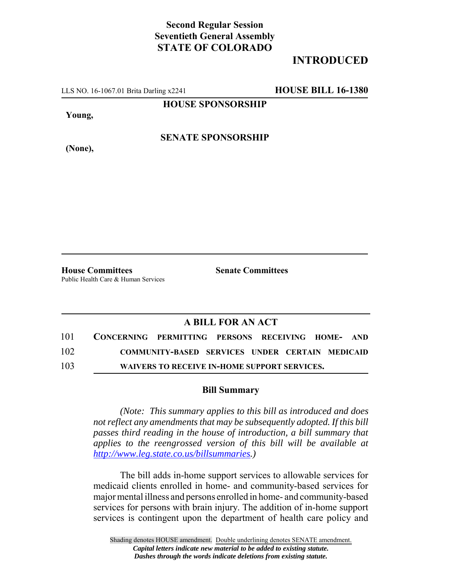## **Second Regular Session Seventieth General Assembly STATE OF COLORADO**

## **INTRODUCED**

LLS NO. 16-1067.01 Brita Darling x2241 **HOUSE BILL 16-1380**

**HOUSE SPONSORSHIP**

**Young,**

**SENATE SPONSORSHIP**

**(None),**

**House Committees Senate Committees** Public Health Care & Human Services

## **A BILL FOR AN ACT**

| 101 | CONCERNING PERMITTING PERSONS RECEIVING HOME- AND |                                                 |  |  |  |
|-----|---------------------------------------------------|-------------------------------------------------|--|--|--|
| 102 |                                                   | COMMUNITY-BASED SERVICES UNDER CERTAIN MEDICAID |  |  |  |
| 103 |                                                   | WAIVERS TO RECEIVE IN-HOME SUPPORT SERVICES.    |  |  |  |

## **Bill Summary**

*(Note: This summary applies to this bill as introduced and does not reflect any amendments that may be subsequently adopted. If this bill passes third reading in the house of introduction, a bill summary that applies to the reengrossed version of this bill will be available at http://www.leg.state.co.us/billsummaries.)*

The bill adds in-home support services to allowable services for medicaid clients enrolled in home- and community-based services for major mental illness and persons enrolled in home- and community-based services for persons with brain injury. The addition of in-home support services is contingent upon the department of health care policy and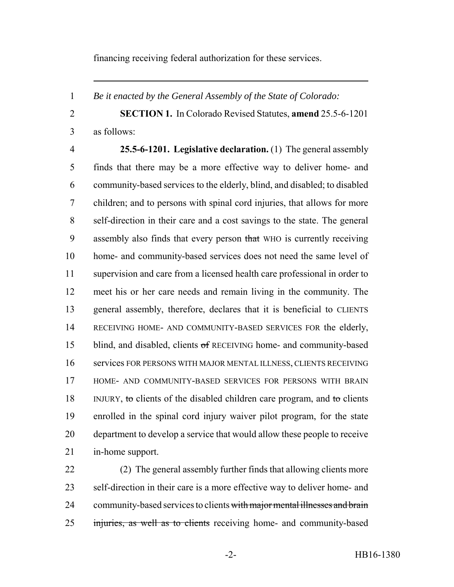financing receiving federal authorization for these services.

*Be it enacted by the General Assembly of the State of Colorado:*

 **SECTION 1.** In Colorado Revised Statutes, **amend** 25.5-6-1201 as follows:

 **25.5-6-1201. Legislative declaration.** (1) The general assembly finds that there may be a more effective way to deliver home- and community-based services to the elderly, blind, and disabled; to disabled children; and to persons with spinal cord injuries, that allows for more self-direction in their care and a cost savings to the state. The general 9 assembly also finds that every person that WHO is currently receiving home- and community-based services does not need the same level of supervision and care from a licensed health care professional in order to meet his or her care needs and remain living in the community. The general assembly, therefore, declares that it is beneficial to CLIENTS RECEIVING HOME- AND COMMUNITY-BASED SERVICES FOR the elderly, 15 blind, and disabled, clients of RECEIVING home- and community-based services FOR PERSONS WITH MAJOR MENTAL ILLNESS, CLIENTS RECEIVING HOME- AND COMMUNITY-BASED SERVICES FOR PERSONS WITH BRAIN 18 INJURY, to clients of the disabled children care program, and to clients enrolled in the spinal cord injury waiver pilot program, for the state department to develop a service that would allow these people to receive in-home support.

 (2) The general assembly further finds that allowing clients more self-direction in their care is a more effective way to deliver home- and 24 community-based services to clients with major mental illnesses and brain injuries, as well as to clients receiving home- and community-based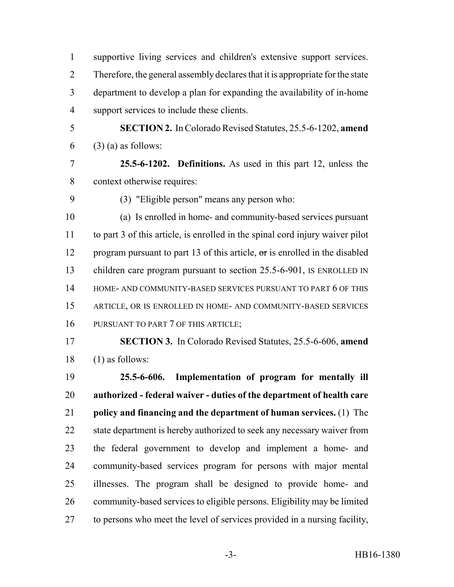supportive living services and children's extensive support services. Therefore, the general assembly declares that it is appropriate for the state department to develop a plan for expanding the availability of in-home support services to include these clients.

 **SECTION 2.** In Colorado Revised Statutes, 25.5-6-1202, **amend**  $(3)$  (a) as follows:

 **25.5-6-1202. Definitions.** As used in this part 12, unless the context otherwise requires:

(3) "Eligible person" means any person who:

 (a) Is enrolled in home- and community-based services pursuant to part 3 of this article, is enrolled in the spinal cord injury waiver pilot 12 program pursuant to part 13 of this article, or is enrolled in the disabled 13 children care program pursuant to section 25.5-6-901, IS ENROLLED IN 14 HOME- AND COMMUNITY-BASED SERVICES PURSUANT TO PART 6 OF THIS ARTICLE, OR IS ENROLLED IN HOME- AND COMMUNITY-BASED SERVICES 16 PURSUANT TO PART 7 OF THIS ARTICLE;

 **SECTION 3.** In Colorado Revised Statutes, 25.5-6-606, **amend** (1) as follows:

 **25.5-6-606. Implementation of program for mentally ill authorized - federal waiver - duties of the department of health care policy and financing and the department of human services.** (1) The 22 state department is hereby authorized to seek any necessary waiver from the federal government to develop and implement a home- and community-based services program for persons with major mental illnesses. The program shall be designed to provide home- and community-based services to eligible persons. Eligibility may be limited to persons who meet the level of services provided in a nursing facility,